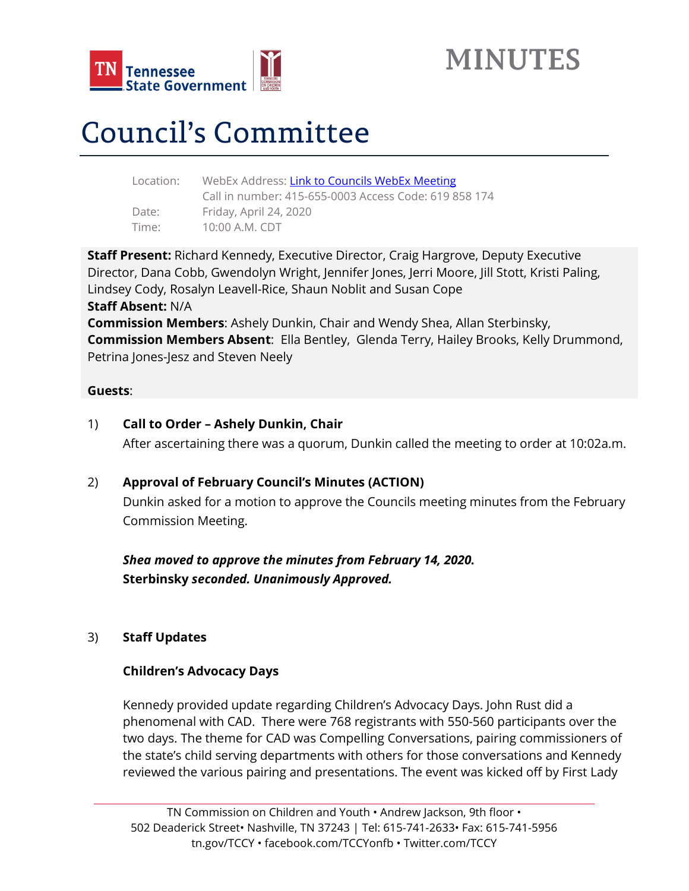

# Council's Committee

| WebEx Address: Link to Councils WebEx Meeting         |
|-------------------------------------------------------|
| Call in number: 415-655-0003 Access Code: 619 858 174 |
| Friday, April 24, 2020                                |
| 10:00 A.M. CDT                                        |
|                                                       |

**Staff Present:** Richard Kennedy, Executive Director, Craig Hargrove, Deputy Executive Director, Dana Cobb, Gwendolyn Wright, Jennifer Jones, Jerri Moore, Jill Stott, Kristi Paling, Lindsey Cody, Rosalyn Leavell-Rice, Shaun Noblit and Susan Cope **Staff Absent:** N/A **Commission Members**: Ashely Dunkin, Chair and Wendy Shea, Allan Sterbinsky, **Commission Members Absent**: Ella Bentley, Glenda Terry, Hailey Brooks, Kelly Drummond, Petrina Jones-Jesz and Steven Neely

## **Guests**:

1) **Call to Order – Ashely Dunkin, Chair**

After ascertaining there was a quorum, Dunkin called the meeting to order at 10:02a.m.

## 2) **Approval of February Council's Minutes (ACTION)**

Dunkin asked for a motion to approve the Councils meeting minutes from the February Commission Meeting.

*Shea moved to approve the minutes from February 14, 2020.*  **Sterbinsky** *seconded. Unanimously Approved.*

## 3) **Staff Updates**

## **Children's Advocacy Days**

Kennedy provided update regarding Children's Advocacy Days. John Rust did a phenomenal with CAD. There were 768 registrants with 550-560 participants over the two days. The theme for CAD was Compelling Conversations, pairing commissioners of the state's child serving departments with others for those conversations and Kennedy reviewed the various pairing and presentations. The event was kicked off by First Lady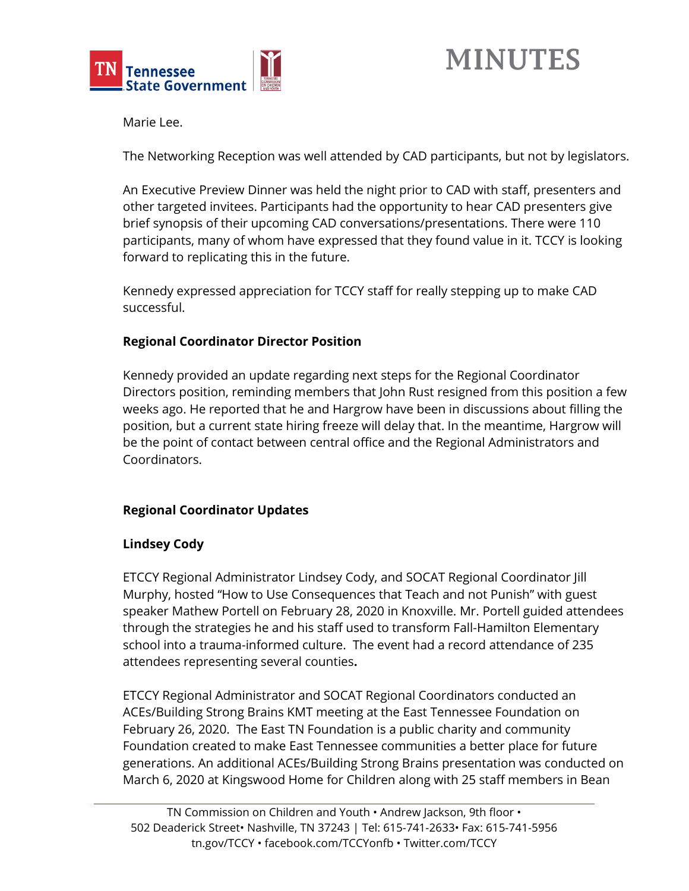

Marie Lee.

The Networking Reception was well attended by CAD participants, but not by legislators.

An Executive Preview Dinner was held the night prior to CAD with staff, presenters and other targeted invitees. Participants had the opportunity to hear CAD presenters give brief synopsis of their upcoming CAD conversations/presentations. There were 110 participants, many of whom have expressed that they found value in it. TCCY is looking forward to replicating this in the future.

Kennedy expressed appreciation for TCCY staff for really stepping up to make CAD successful.

# **Regional Coordinator Director Position**

Kennedy provided an update regarding next steps for the Regional Coordinator Directors position, reminding members that John Rust resigned from this position a few weeks ago. He reported that he and Hargrow have been in discussions about filling the position, but a current state hiring freeze will delay that. In the meantime, Hargrow will be the point of contact between central office and the Regional Administrators and Coordinators.

# **Regional Coordinator Updates**

## **Lindsey Cody**

ETCCY Regional Administrator Lindsey Cody, and SOCAT Regional Coordinator Jill Murphy, hosted "How to Use Consequences that Teach and not Punish" with guest speaker Mathew Portell on February 28, 2020 in Knoxville. Mr. Portell guided attendees through the strategies he and his staff used to transform Fall-Hamilton Elementary school into a trauma-informed culture. The event had a record attendance of 235 attendees representing several counties**.** 

ETCCY Regional Administrator and SOCAT Regional Coordinators conducted an ACEs/Building Strong Brains KMT meeting at the East Tennessee Foundation on February 26, 2020. The East TN Foundation is a public charity and community Foundation created to make East Tennessee communities a better place for future generations. An additional ACEs/Building Strong Brains presentation was conducted on March 6, 2020 at Kingswood Home for Children along with 25 staff members in Bean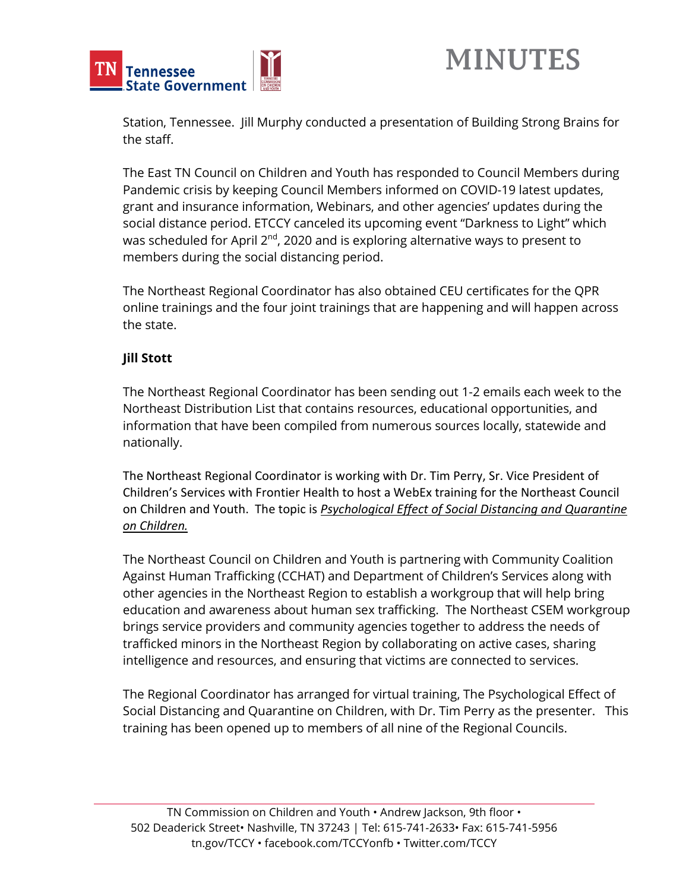

Station, Tennessee. Jill Murphy conducted a presentation of Building Strong Brains for the staff.

The East TN Council on Children and Youth has responded to Council Members during Pandemic crisis by keeping Council Members informed on COVID-19 latest updates, grant and insurance information, Webinars, and other agencies' updates during the social distance period. ETCCY canceled its upcoming event "Darkness to Light" which was scheduled for April  $2^{nd}$ , 2020 and is exploring alternative ways to present to members during the social distancing period.

The Northeast Regional Coordinator has also obtained CEU certificates for the QPR online trainings and the four joint trainings that are happening and will happen across the state.

## **Jill Stott**

The Northeast Regional Coordinator has been sending out 1-2 emails each week to the Northeast Distribution List that contains resources, educational opportunities, and information that have been compiled from numerous sources locally, statewide and nationally.

The Northeast Regional Coordinator is working with Dr. Tim Perry, Sr. Vice President of Children's Services with Frontier Health to host a WebEx training for the Northeast Council on Children and Youth. The topic is *Psychological Effect of Social Distancing and Quarantine on Children.* 

The Northeast Council on Children and Youth is partnering with Community Coalition Against Human Trafficking (CCHAT) and Department of Children's Services along with other agencies in the Northeast Region to establish a workgroup that will help bring education and awareness about human sex trafficking. The Northeast CSEM workgroup brings service providers and community agencies together to address the needs of trafficked minors in the Northeast Region by collaborating on active cases, sharing intelligence and resources, and ensuring that victims are connected to services.

The Regional Coordinator has arranged for virtual training, The Psychological Effect of Social Distancing and Quarantine on Children, with Dr. Tim Perry as the presenter. This training has been opened up to members of all nine of the Regional Councils.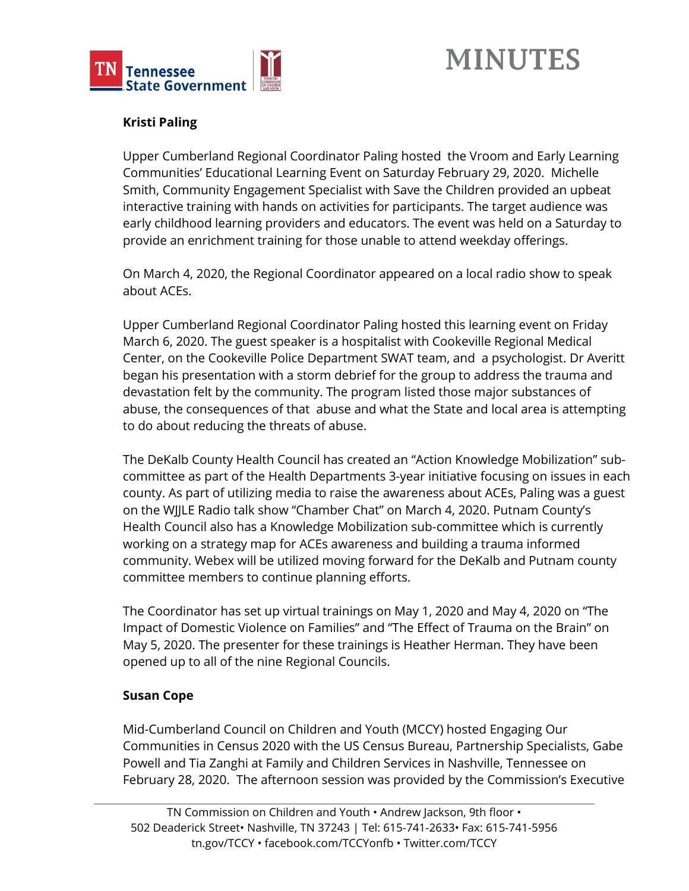

# **Kristi Paling**

Upper Cumberland Regional Coordinator Paling hosted the Vroom and Early Learning Communities' Educational Learning Event on Saturday February 29, 2020. Michelle Smith, Community Engagement Specialist with Save the Children provided an upbeat interactive training with hands on activities for participants. The target audience was early childhood learning providers and educators. The event was held on a Saturday to provide an enrichment training for those unable to attend weekday offerings.

On March 4, 2020, the Regional Coordinator appeared on a local radio show to speak about ACEs.

Upper Cumberland Regional Coordinator Paling hosted this learning event on Friday March 6, 2020. The guest speaker is a hospitalist with Cookeville Regional Medical Center, on the Cookeville Police Department SWAT team, and a psychologist. Dr Averitt began his presentation with a storm debrief for the group to address the trauma and devastation felt by the community. The program listed those major substances of abuse, the consequences of that abuse and what the State and local area is attempting to do about reducing the threats of abuse.

The DeKalb County Health Council has created an "Action Knowledge Mobilization" subcommittee as part of the Health Departments 3-year initiative focusing on issues in each county. As part of utilizing media to raise the awareness about ACEs, Paling was a guest on the WJJLE Radio talk show "Chamber Chat" on March 4, 2020. Putnam County's Health Council also has a Knowledge Mobilization sub-committee which is currently working on a strategy map for ACEs awareness and building a trauma informed community. Webex will be utilized moving forward for the DeKalb and Putnam county committee members to continue planning efforts.

The Coordinator has set up virtual trainings on May 1, 2020 and May 4, 2020 on "The Impact of Domestic Violence on Families" and "The Effect of Trauma on the Brain" on May 5, 2020. The presenter for these trainings is Heather Herman. They have been opened up to all of the nine Regional Councils.

## **Susan Cope**

Mid-Cumberland Council on Children and Youth (MCCY) hosted Engaging Our Communities in Census 2020 with the US Census Bureau, Partnership Specialists, Gabe Powell and Tia Zanghi at Family and Children Services in Nashville, Tennessee on February 28, 2020. The afternoon session was provided by the Commission's Executive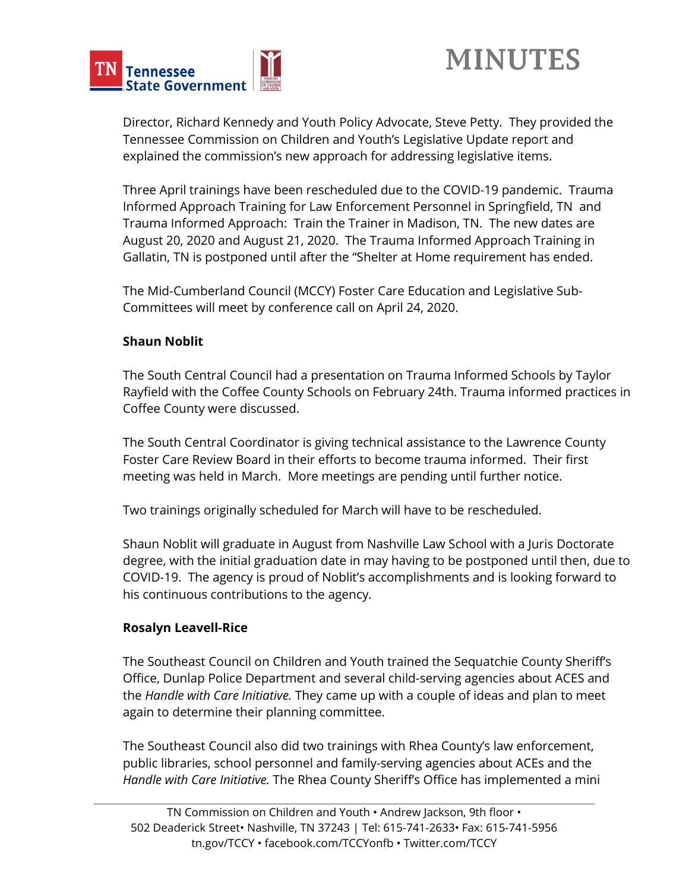

Director, Richard Kennedy and Youth Policy Advocate, Steve Petty. They provided the Tennessee Commission on Children and Youth's Legislative Update report and explained the commission's new approach for addressing legislative items.

Three April trainings have been rescheduled due to the COVID-19 pandemic. Trauma Informed Approach Training for Law Enforcement Personnel in Springfield, TN and Trauma Informed Approach: Train the Trainer in Madison, TN. The new dates are August 20, 2020 and August 21, 2020. The Trauma Informed Approach Training in Gallatin, TN is postponed until after the "Shelter at Home requirement has ended.

The Mid-Cumberland Council (MCCY) Foster Care Education and Legislative Sub-Committees will meet by conference call on April 24, 2020.

## **Shaun Noblit**

The South Central Council had a presentation on Trauma Informed Schools by Taylor Rayfield with the Coffee County Schools on February 24th. Trauma informed practices in Coffee County were discussed.

The South Central Coordinator is giving technical assistance to the Lawrence County Foster Care Review Board in their efforts to become trauma informed. Their first meeting was held in March. More meetings are pending until further notice.

Two trainings originally scheduled for March will have to be rescheduled.

Shaun Noblit will graduate in August from Nashville Law School with a Juris Doctorate degree, with the initial graduation date in may having to be postponed until then, due to COVID-19. The agency is proud of Noblit's accomplishments and is looking forward to his continuous contributions to the agency.

## **Rosalyn Leavell-Rice**

The Southeast Council on Children and Youth trained the Sequatchie County Sheriff's Office, Dunlap Police Department and several child-serving agencies about ACES and the *Handle with Care Initiative.* They came up with a couple of ideas and plan to meet again to determine their planning committee.

The Southeast Council also did two trainings with Rhea County's law enforcement, public libraries, school personnel and family-serving agencies about ACEs and the *Handle with Care Initiative.* The Rhea County Sheriff's Office has implemented a mini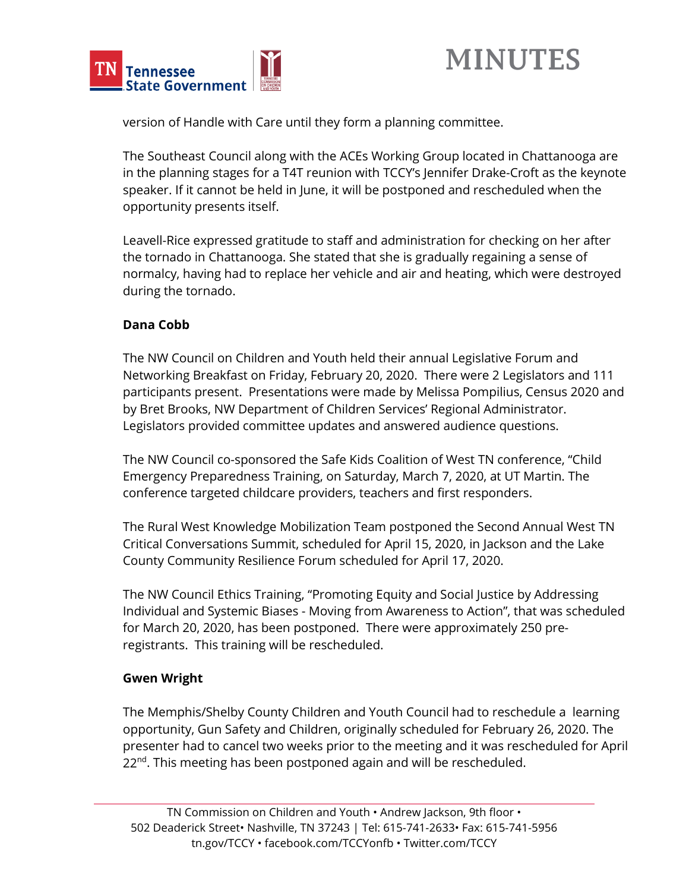



version of Handle with Care until they form a planning committee.

The Southeast Council along with the ACEs Working Group located in Chattanooga are in the planning stages for a T4T reunion with TCCY's Jennifer Drake-Croft as the keynote speaker. If it cannot be held in June, it will be postponed and rescheduled when the opportunity presents itself.

Leavell-Rice expressed gratitude to staff and administration for checking on her after the tornado in Chattanooga. She stated that she is gradually regaining a sense of normalcy, having had to replace her vehicle and air and heating, which were destroyed during the tornado.

## **Dana Cobb**

The NW Council on Children and Youth held their annual Legislative Forum and Networking Breakfast on Friday, February 20, 2020. There were 2 Legislators and 111 participants present. Presentations were made by Melissa Pompilius, Census 2020 and by Bret Brooks, NW Department of Children Services' Regional Administrator. Legislators provided committee updates and answered audience questions.

The NW Council co-sponsored the Safe Kids Coalition of West TN conference, "Child Emergency Preparedness Training, on Saturday, March 7, 2020, at UT Martin. The conference targeted childcare providers, teachers and first responders.

The Rural West Knowledge Mobilization Team postponed the Second Annual West TN Critical Conversations Summit, scheduled for April 15, 2020, in Jackson and the Lake County Community Resilience Forum scheduled for April 17, 2020.

The NW Council Ethics Training, "Promoting Equity and Social Justice by Addressing Individual and Systemic Biases - Moving from Awareness to Action", that was scheduled for March 20, 2020, has been postponed. There were approximately 250 preregistrants. This training will be rescheduled.

## **Gwen Wright**

The Memphis/Shelby County Children and Youth Council had to reschedule a learning opportunity, Gun Safety and Children, originally scheduled for February 26, 2020. The presenter had to cancel two weeks prior to the meeting and it was rescheduled for April  $22^{nd}$ . This meeting has been postponed again and will be rescheduled.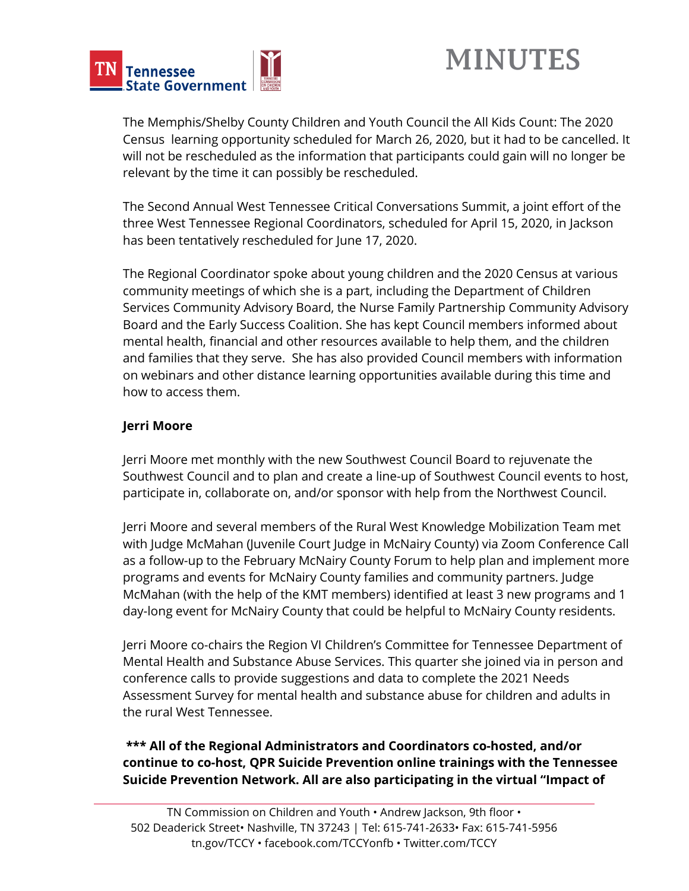

The Memphis/Shelby County Children and Youth Council the All Kids Count: The 2020 Census learning opportunity scheduled for March 26, 2020, but it had to be cancelled. It will not be rescheduled as the information that participants could gain will no longer be relevant by the time it can possibly be rescheduled.

The Second Annual West Tennessee Critical Conversations Summit, a joint effort of the three West Tennessee Regional Coordinators, scheduled for April 15, 2020, in Jackson has been tentatively rescheduled for June 17, 2020.

The Regional Coordinator spoke about young children and the 2020 Census at various community meetings of which she is a part, including the Department of Children Services Community Advisory Board, the Nurse Family Partnership Community Advisory Board and the Early Success Coalition. She has kept Council members informed about mental health, financial and other resources available to help them, and the children and families that they serve. She has also provided Council members with information on webinars and other distance learning opportunities available during this time and how to access them.

# **Jerri Moore**

Jerri Moore met monthly with the new Southwest Council Board to rejuvenate the Southwest Council and to plan and create a line-up of Southwest Council events to host, participate in, collaborate on, and/or sponsor with help from the Northwest Council.

Jerri Moore and several members of the Rural West Knowledge Mobilization Team met with Judge McMahan (Juvenile Court Judge in McNairy County) via Zoom Conference Call as a follow-up to the February McNairy County Forum to help plan and implement more programs and events for McNairy County families and community partners. Judge McMahan (with the help of the KMT members) identified at least 3 new programs and 1 day-long event for McNairy County that could be helpful to McNairy County residents.

Jerri Moore co-chairs the Region VI Children's Committee for Tennessee Department of Mental Health and Substance Abuse Services. This quarter she joined via in person and conference calls to provide suggestions and data to complete the 2021 Needs Assessment Survey for mental health and substance abuse for children and adults in the rural West Tennessee.

**\*\*\* All of the Regional Administrators and Coordinators co-hosted, and/or continue to co-host, QPR Suicide Prevention online trainings with the Tennessee Suicide Prevention Network. All are also participating in the virtual "Impact of**